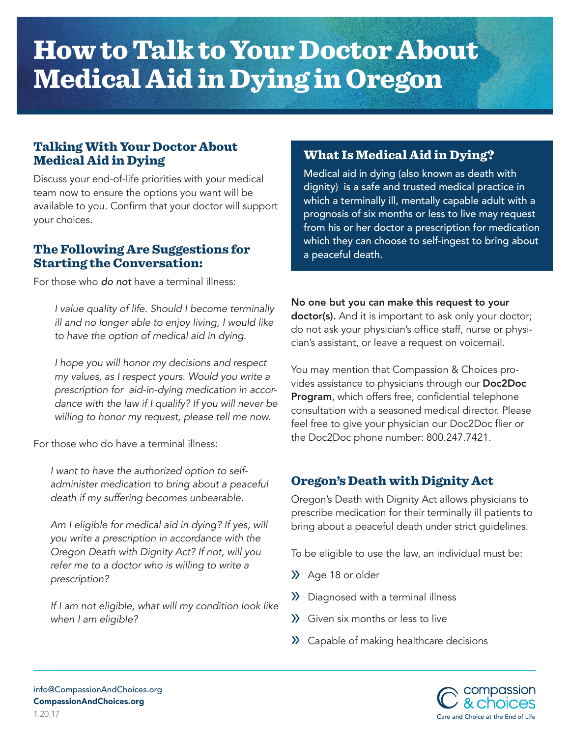# How to Talk to Your Doctor About Medical Aid in Dying in Oregon

## Talking With Your Doctor About Medical Aid in Dying

Discuss your end-of-life priorities with your medical team now to ensure the options you want will be available to you. Confirm that your doctor will support your choices.

#### The Following Are Suggestions for Starting the Conversation:

For those who *do not* have a terminal illness:

*I value quality of life. Should I become terminally ill and no longer able to enjoy living, I would like to have the option of medical aid in dying.* 

*I hope you will honor my decisions and respect my values, as I respect yours. Would you write a prescription for aid-in-dying medication in accordance with the law if I qualify? If you will never be willing to honor my request, please tell me now.*

For those who do have a terminal illness:

*I want to have the authorized option to selfadminister medication to bring about a peaceful death if my suffering becomes unbearable.*

*Am I eligible for medical aid in dying? If yes, will you write a prescription in accordance with the Oregon Death with Dignity Act? If not, will you refer me to a doctor who is willing to write a prescription?*

*If I am not eligible, what will my condition look like when I am eligible?*

### What Is Medical Aid in Dying?

Medical aid in dying (also known as death with dignity) is a safe and trusted medical practice in which a terminally ill, mentally capable adult with a prognosis of six months or less to live may request from his or her doctor a prescription for medication which they can choose to self-ingest to bring about a peaceful death.

#### No one but you can make this request to your

doctor(s). And it is important to ask only your doctor; do not ask your physician's office staff, nurse or physician's assistant, or leave a request on voicemail.

You may mention that Compassion & Choices provides assistance to physicians through our Doc2Doc Program, which offers free, confidential telephone consultation with a seasoned medical director. Please feel free to give your physician our Doc2Doc flier or the Doc2Doc phone number: 800.247.7421.

# Oregon's Death with Dignity Act

Oregon's Death with Dignity Act allows physicians to prescribe medication for their terminally ill patients to bring about a peaceful death under strict guidelines.

To be eligible to use the law, an individual must be:

- » Age 18 or older
- » Diagnosed with a terminal illness
- » Given six months or less to live
- » Capable of making healthcare decisions